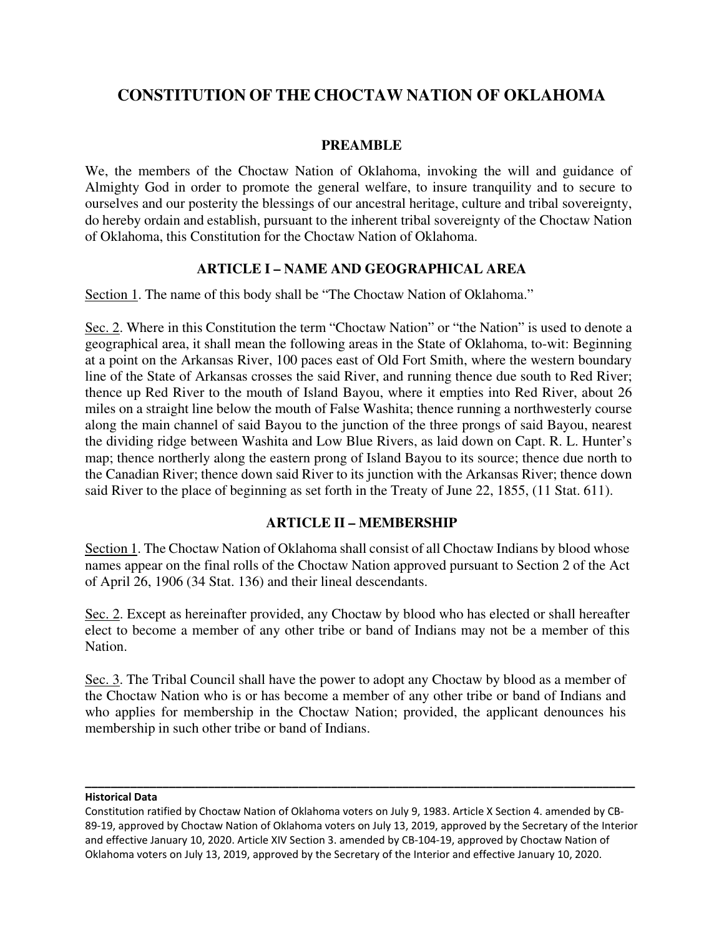# **CONSTITUTION OF THE CHOCTAW NATION OF OKLAHOMA**

#### **PREAMBLE**

We, the members of the Choctaw Nation of Oklahoma, invoking the will and guidance of Almighty God in order to promote the general welfare, to insure tranquility and to secure to ourselves and our posterity the blessings of our ancestral heritage, culture and tribal sovereignty, do hereby ordain and establish, pursuant to the inherent tribal sovereignty of the Choctaw Nation of Oklahoma, this Constitution for the Choctaw Nation of Oklahoma.

## **ARTICLE I – NAME AND GEOGRAPHICAL AREA**

Section 1. The name of this body shall be "The Choctaw Nation of Oklahoma."

Sec. 2. Where in this Constitution the term "Choctaw Nation" or "the Nation" is used to denote a geographical area, it shall mean the following areas in the State of Oklahoma, to-wit: Beginning at a point on the Arkansas River, 100 paces east of Old Fort Smith, where the western boundary line of the State of Arkansas crosses the said River, and running thence due south to Red River; thence up Red River to the mouth of Island Bayou, where it empties into Red River, about 26 miles on a straight line below the mouth of False Washita; thence running a northwesterly course along the main channel of said Bayou to the junction of the three prongs of said Bayou, nearest the dividing ridge between Washita and Low Blue Rivers, as laid down on Capt. R. L. Hunter's map; thence northerly along the eastern prong of Island Bayou to its source; thence due north to the Canadian River; thence down said River to its junction with the Arkansas River; thence down said River to the place of beginning as set forth in the Treaty of June 22, 1855, (11 Stat. 611).

## **ARTICLE II – MEMBERSHIP**

Section 1. The Choctaw Nation of Oklahoma shall consist of all Choctaw Indians by blood whose names appear on the final rolls of the Choctaw Nation approved pursuant to Section 2 of the Act of April 26, 1906 (34 Stat. 136) and their lineal descendants.

Sec. 2. Except as hereinafter provided, any Choctaw by blood who has elected or shall hereafter elect to become a member of any other tribe or band of Indians may not be a member of this Nation.

Sec. 3. The Tribal Council shall have the power to adopt any Choctaw by blood as a member of the Choctaw Nation who is or has become a member of any other tribe or band of Indians and who applies for membership in the Choctaw Nation; provided, the applicant denounces his membership in such other tribe or band of Indians.

#### **Historical Data**

**\_\_\_\_\_\_\_\_\_\_\_\_\_\_\_\_\_\_\_\_\_\_\_\_\_\_\_\_\_\_\_\_\_\_\_\_\_\_\_\_\_\_\_\_\_\_\_\_\_\_\_\_\_\_\_\_\_\_\_\_\_\_\_\_\_\_\_\_\_\_\_\_\_\_\_\_\_\_\_\_\_\_\_\_\_**

Constitution ratified by Choctaw Nation of Oklahoma voters on July 9, 1983. Article X Section 4. amended by CB-89-19, approved by Choctaw Nation of Oklahoma voters on July 13, 2019, approved by the Secretary of the Interior and effective January 10, 2020. Article XIV Section 3. amended by CB-104-19, approved by Choctaw Nation of Oklahoma voters on July 13, 2019, approved by the Secretary of the Interior and effective January 10, 2020.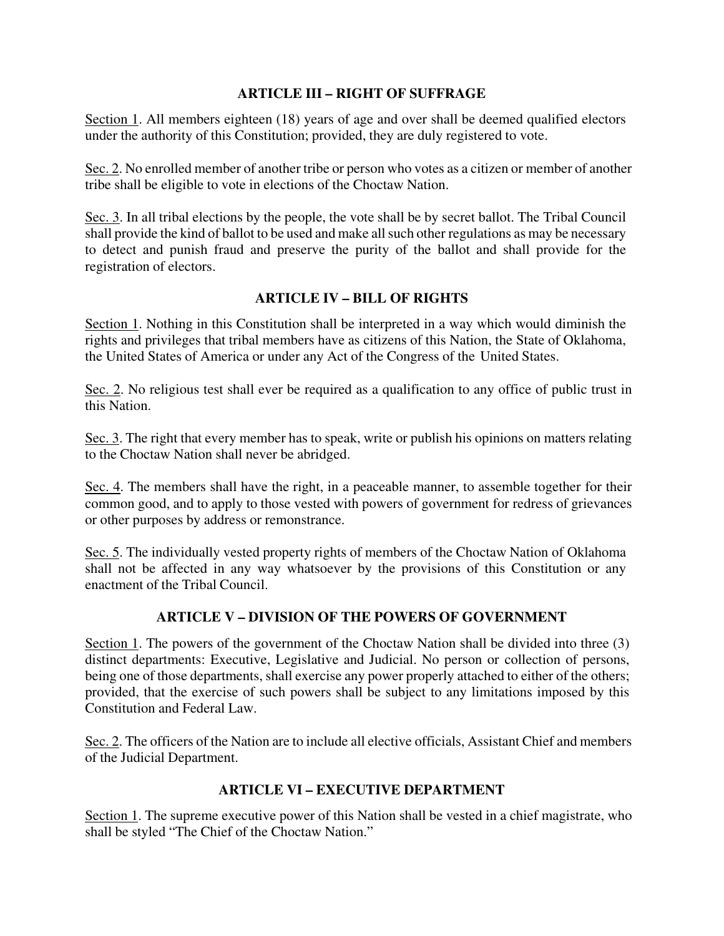# **ARTICLE III – RIGHT OF SUFFRAGE**

Section 1. All members eighteen (18) years of age and over shall be deemed qualified electors under the authority of this Constitution; provided, they are duly registered to vote.

Sec. 2. No enrolled member of another tribe or person who votes as a citizen or member of another tribe shall be eligible to vote in elections of the Choctaw Nation.

Sec. 3. In all tribal elections by the people, the vote shall be by secret ballot. The Tribal Council shall provide the kind of ballot to be used and make all such other regulations as may be necessary to detect and punish fraud and preserve the purity of the ballot and shall provide for the registration of electors.

# **ARTICLE IV – BILL OF RIGHTS**

Section 1. Nothing in this Constitution shall be interpreted in a way which would diminish the rights and privileges that tribal members have as citizens of this Nation, the State of Oklahoma, the United States of America or under any Act of the Congress of the United States.

Sec. 2. No religious test shall ever be required as a qualification to any office of public trust in this Nation.

Sec. 3. The right that every member has to speak, write or publish his opinions on matters relating to the Choctaw Nation shall never be abridged.

Sec. 4. The members shall have the right, in a peaceable manner, to assemble together for their common good, and to apply to those vested with powers of government for redress of grievances or other purposes by address or remonstrance.

Sec. 5. The individually vested property rights of members of the Choctaw Nation of Oklahoma shall not be affected in any way whatsoever by the provisions of this Constitution or any enactment of the Tribal Council.

# **ARTICLE V – DIVISION OF THE POWERS OF GOVERNMENT**

Section 1. The powers of the government of the Choctaw Nation shall be divided into three (3) distinct departments: Executive, Legislative and Judicial. No person or collection of persons, being one of those departments, shall exercise any power properly attached to either of the others; provided, that the exercise of such powers shall be subject to any limitations imposed by this Constitution and Federal Law.

Sec. 2. The officers of the Nation are to include all elective officials, Assistant Chief and members of the Judicial Department.

## **ARTICLE VI – EXECUTIVE DEPARTMENT**

Section 1. The supreme executive power of this Nation shall be vested in a chief magistrate, who shall be styled "The Chief of the Choctaw Nation."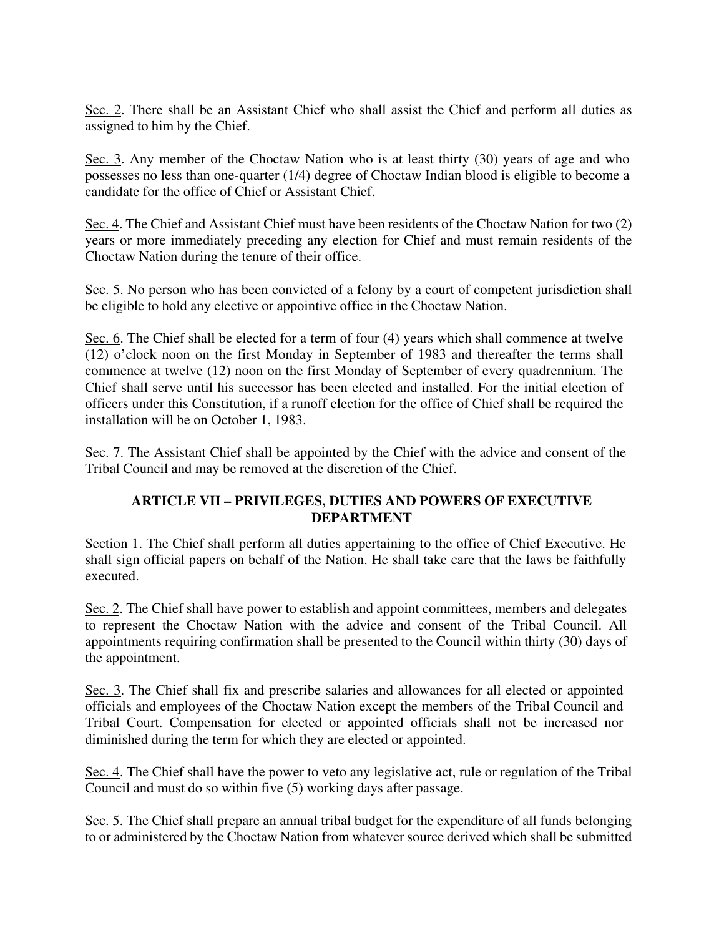Sec. 2. There shall be an Assistant Chief who shall assist the Chief and perform all duties as assigned to him by the Chief.

Sec. 3. Any member of the Choctaw Nation who is at least thirty (30) years of age and who possesses no less than one-quarter (1/4) degree of Choctaw Indian blood is eligible to become a candidate for the office of Chief or Assistant Chief.

Sec. 4. The Chief and Assistant Chief must have been residents of the Choctaw Nation for two (2) years or more immediately preceding any election for Chief and must remain residents of the Choctaw Nation during the tenure of their office.

Sec. 5. No person who has been convicted of a felony by a court of competent jurisdiction shall be eligible to hold any elective or appointive office in the Choctaw Nation.

Sec. 6. The Chief shall be elected for a term of four (4) years which shall commence at twelve (12) o'clock noon on the first Monday in September of 1983 and thereafter the terms shall commence at twelve (12) noon on the first Monday of September of every quadrennium. The Chief shall serve until his successor has been elected and installed. For the initial election of officers under this Constitution, if a runoff election for the office of Chief shall be required the installation will be on October 1, 1983.

Sec. 7. The Assistant Chief shall be appointed by the Chief with the advice and consent of the Tribal Council and may be removed at the discretion of the Chief.

## **ARTICLE VII – PRIVILEGES, DUTIES AND POWERS OF EXECUTIVE DEPARTMENT**

Section 1. The Chief shall perform all duties appertaining to the office of Chief Executive. He shall sign official papers on behalf of the Nation. He shall take care that the laws be faithfully executed.

Sec. 2. The Chief shall have power to establish and appoint committees, members and delegates to represent the Choctaw Nation with the advice and consent of the Tribal Council. All appointments requiring confirmation shall be presented to the Council within thirty (30) days of the appointment.

Sec. 3. The Chief shall fix and prescribe salaries and allowances for all elected or appointed officials and employees of the Choctaw Nation except the members of the Tribal Council and Tribal Court. Compensation for elected or appointed officials shall not be increased nor diminished during the term for which they are elected or appointed.

Sec. 4. The Chief shall have the power to veto any legislative act, rule or regulation of the Tribal Council and must do so within five (5) working days after passage.

Sec. 5. The Chief shall prepare an annual tribal budget for the expenditure of all funds belonging to or administered by the Choctaw Nation from whatever source derived which shall be submitted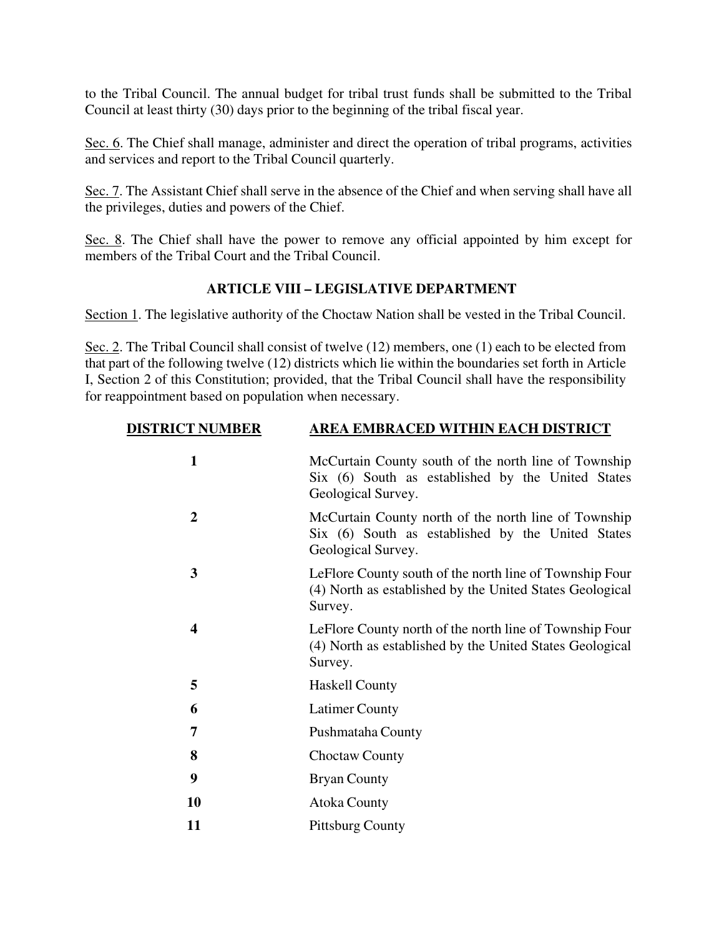to the Tribal Council. The annual budget for tribal trust funds shall be submitted to the Tribal Council at least thirty (30) days prior to the beginning of the tribal fiscal year.

Sec. 6. The Chief shall manage, administer and direct the operation of tribal programs, activities and services and report to the Tribal Council quarterly.

Sec. 7. The Assistant Chief shall serve in the absence of the Chief and when serving shall have all the privileges, duties and powers of the Chief.

Sec. 8. The Chief shall have the power to remove any official appointed by him except for members of the Tribal Court and the Tribal Council.

## **ARTICLE VIII – LEGISLATIVE DEPARTMENT**

Section 1. The legislative authority of the Choctaw Nation shall be vested in the Tribal Council.

Sec. 2. The Tribal Council shall consist of twelve (12) members, one (1) each to be elected from that part of the following twelve (12) districts which lie within the boundaries set forth in Article I, Section 2 of this Constitution; provided, that the Tribal Council shall have the responsibility for reappointment based on population when necessary.

| <b>DISTRICT NUMBER</b> | AREA EMBRACED WITHIN EACH DISTRICT                                                                                              |
|------------------------|---------------------------------------------------------------------------------------------------------------------------------|
| $\mathbf{1}$           | McCurtain County south of the north line of Township<br>Six (6) South as established by the United States<br>Geological Survey. |
| $\overline{2}$         | McCurtain County north of the north line of Township<br>Six (6) South as established by the United States<br>Geological Survey. |
| 3                      | LeFlore County south of the north line of Township Four<br>(4) North as established by the United States Geological<br>Survey.  |
| 4                      | LeFlore County north of the north line of Township Four<br>(4) North as established by the United States Geological<br>Survey.  |
| 5                      | <b>Haskell County</b>                                                                                                           |
| 6                      | <b>Latimer County</b>                                                                                                           |
| 7                      | Pushmataha County                                                                                                               |
| 8                      | <b>Choctaw County</b>                                                                                                           |
| 9                      | <b>Bryan County</b>                                                                                                             |
| 10                     | <b>Atoka County</b>                                                                                                             |
| 11                     | <b>Pittsburg County</b>                                                                                                         |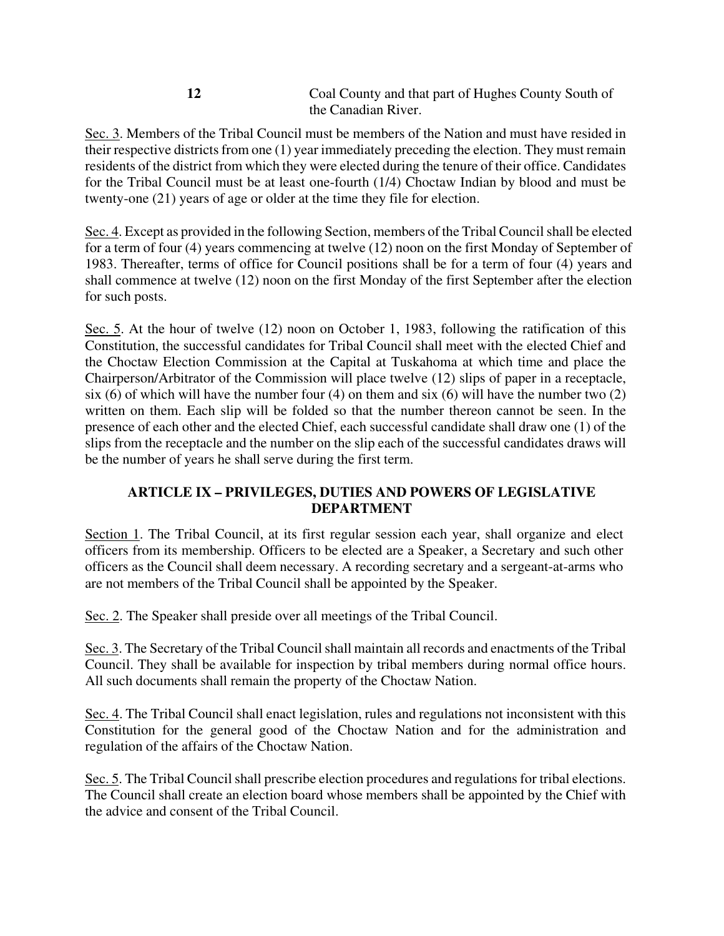| Coal County and that part of Hughes County South of |
|-----------------------------------------------------|
| the Canadian River.                                 |

Sec. 3. Members of the Tribal Council must be members of the Nation and must have resided in their respective districts from one  $(1)$  year immediately preceding the election. They must remain residents of the district from which they were elected during the tenure of their office. Candidates for the Tribal Council must be at least one-fourth (1/4) Choctaw Indian by blood and must be twenty-one (21) years of age or older at the time they file for election.

Sec. 4. Except as provided in the following Section, members of the Tribal Council shall be elected for a term of four (4) years commencing at twelve (12) noon on the first Monday of September of 1983. Thereafter, terms of office for Council positions shall be for a term of four (4) years and shall commence at twelve (12) noon on the first Monday of the first September after the election for such posts.

Sec. 5. At the hour of twelve (12) noon on October 1, 1983, following the ratification of this Constitution, the successful candidates for Tribal Council shall meet with the elected Chief and the Choctaw Election Commission at the Capital at Tuskahoma at which time and place the Chairperson/Arbitrator of the Commission will place twelve (12) slips of paper in a receptacle, six (6) of which will have the number four (4) on them and six (6) will have the number two (2) written on them. Each slip will be folded so that the number thereon cannot be seen. In the presence of each other and the elected Chief, each successful candidate shall draw one (1) of the slips from the receptacle and the number on the slip each of the successful candidates draws will be the number of years he shall serve during the first term.

## **ARTICLE IX – PRIVILEGES, DUTIES AND POWERS OF LEGISLATIVE DEPARTMENT**

Section 1. The Tribal Council, at its first regular session each year, shall organize and elect officers from its membership. Officers to be elected are a Speaker, a Secretary and such other officers as the Council shall deem necessary. A recording secretary and a sergeant-at-arms who are not members of the Tribal Council shall be appointed by the Speaker.

Sec. 2. The Speaker shall preside over all meetings of the Tribal Council.

Sec. 3. The Secretary of the Tribal Council shall maintain all records and enactments of the Tribal Council. They shall be available for inspection by tribal members during normal office hours. All such documents shall remain the property of the Choctaw Nation.

Sec. 4. The Tribal Council shall enact legislation, rules and regulations not inconsistent with this Constitution for the general good of the Choctaw Nation and for the administration and regulation of the affairs of the Choctaw Nation.

Sec. 5. The Tribal Council shall prescribe election procedures and regulations for tribal elections. The Council shall create an election board whose members shall be appointed by the Chief with the advice and consent of the Tribal Council.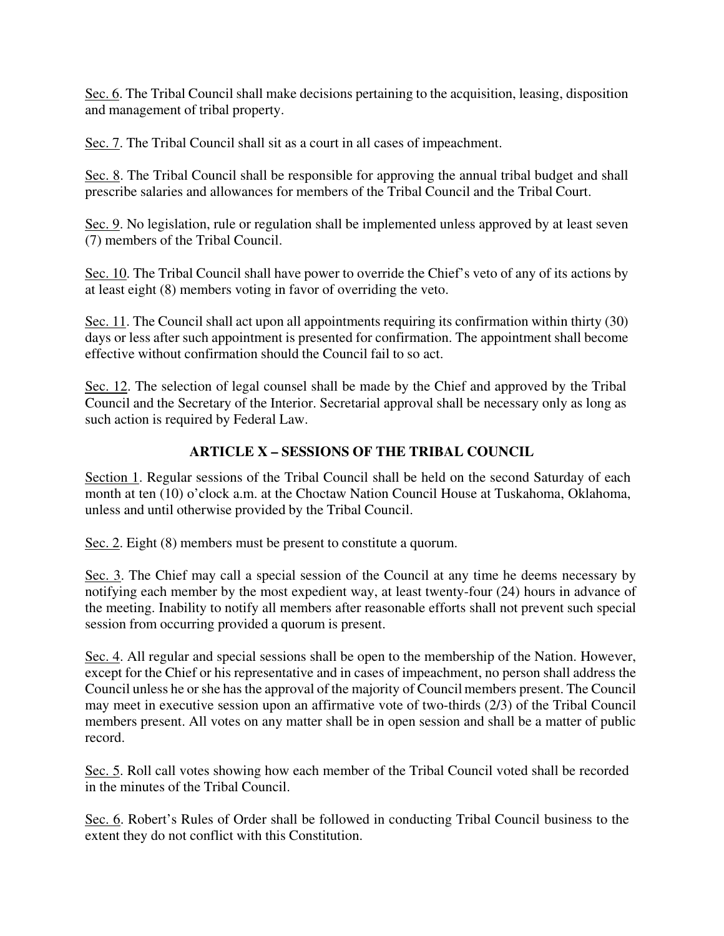Sec. 6. The Tribal Council shall make decisions pertaining to the acquisition, leasing, disposition and management of tribal property.

Sec. 7. The Tribal Council shall sit as a court in all cases of impeachment.

Sec. 8. The Tribal Council shall be responsible for approving the annual tribal budget and shall prescribe salaries and allowances for members of the Tribal Council and the Tribal Court.

Sec. 9. No legislation, rule or regulation shall be implemented unless approved by at least seven (7) members of the Tribal Council.

Sec. 10. The Tribal Council shall have power to override the Chief's veto of any of its actions by at least eight (8) members voting in favor of overriding the veto.

Sec. 11. The Council shall act upon all appointments requiring its confirmation within thirty (30) days or less after such appointment is presented for confirmation. The appointment shall become effective without confirmation should the Council fail to so act.

Sec. 12. The selection of legal counsel shall be made by the Chief and approved by the Tribal Council and the Secretary of the Interior. Secretarial approval shall be necessary only as long as such action is required by Federal Law.

# **ARTICLE X – SESSIONS OF THE TRIBAL COUNCIL**

Section 1. Regular sessions of the Tribal Council shall be held on the second Saturday of each month at ten (10) o'clock a.m. at the Choctaw Nation Council House at Tuskahoma, Oklahoma, unless and until otherwise provided by the Tribal Council.

Sec. 2. Eight (8) members must be present to constitute a quorum.

Sec. 3. The Chief may call a special session of the Council at any time he deems necessary by notifying each member by the most expedient way, at least twenty-four (24) hours in advance of the meeting. Inability to notify all members after reasonable efforts shall not prevent such special session from occurring provided a quorum is present.

Sec. 4. All regular and special sessions shall be open to the membership of the Nation. However, except for the Chief or his representative and in cases of impeachment, no person shall address the Council unless he or she has the approval of the majority of Council members present. The Council may meet in executive session upon an affirmative vote of two-thirds (2/3) of the Tribal Council members present. All votes on any matter shall be in open session and shall be a matter of public record.

Sec. 5. Roll call votes showing how each member of the Tribal Council voted shall be recorded in the minutes of the Tribal Council.

Sec. 6. Robert's Rules of Order shall be followed in conducting Tribal Council business to the extent they do not conflict with this Constitution.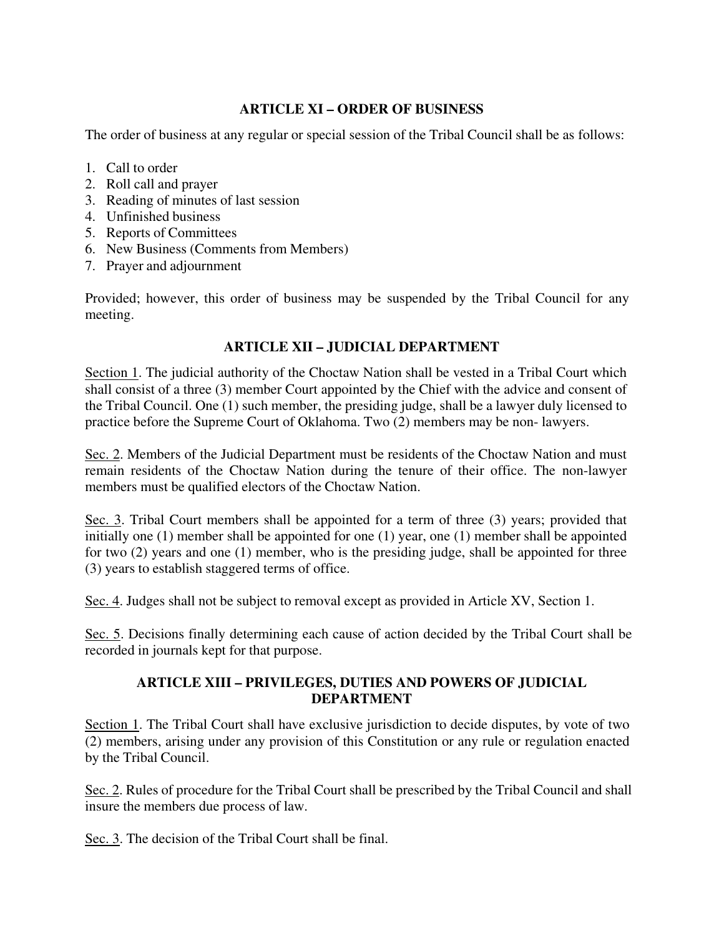## **ARTICLE XI – ORDER OF BUSINESS**

The order of business at any regular or special session of the Tribal Council shall be as follows:

- 1. Call to order
- 2. Roll call and prayer
- 3. Reading of minutes of last session
- 4. Unfinished business
- 5. Reports of Committees
- 6. New Business (Comments from Members)
- 7. Prayer and adjournment

Provided; however, this order of business may be suspended by the Tribal Council for any meeting.

# **ARTICLE XII – JUDICIAL DEPARTMENT**

Section 1. The judicial authority of the Choctaw Nation shall be vested in a Tribal Court which shall consist of a three (3) member Court appointed by the Chief with the advice and consent of the Tribal Council. One (1) such member, the presiding judge, shall be a lawyer duly licensed to practice before the Supreme Court of Oklahoma. Two (2) members may be non- lawyers.

Sec. 2. Members of the Judicial Department must be residents of the Choctaw Nation and must remain residents of the Choctaw Nation during the tenure of their office. The non-lawyer members must be qualified electors of the Choctaw Nation.

Sec. 3. Tribal Court members shall be appointed for a term of three (3) years; provided that initially one (1) member shall be appointed for one (1) year, one (1) member shall be appointed for two (2) years and one (1) member, who is the presiding judge, shall be appointed for three (3) years to establish staggered terms of office.

Sec. 4. Judges shall not be subject to removal except as provided in Article XV, Section 1.

Sec. 5. Decisions finally determining each cause of action decided by the Tribal Court shall be recorded in journals kept for that purpose.

## **ARTICLE XIII – PRIVILEGES, DUTIES AND POWERS OF JUDICIAL DEPARTMENT**

Section 1. The Tribal Court shall have exclusive jurisdiction to decide disputes, by vote of two (2) members, arising under any provision of this Constitution or any rule or regulation enacted by the Tribal Council.

Sec. 2. Rules of procedure for the Tribal Court shall be prescribed by the Tribal Council and shall insure the members due process of law.

Sec. 3. The decision of the Tribal Court shall be final.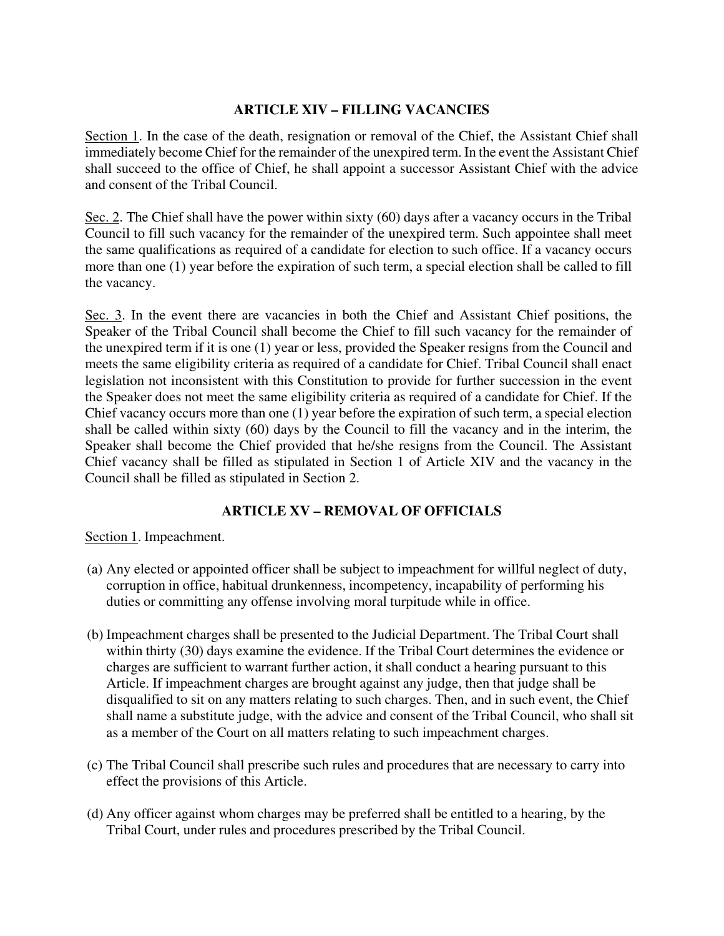## **ARTICLE XIV – FILLING VACANCIES**

Section 1. In the case of the death, resignation or removal of the Chief, the Assistant Chief shall immediately become Chief for the remainder of the unexpired term. In the event the Assistant Chief shall succeed to the office of Chief, he shall appoint a successor Assistant Chief with the advice and consent of the Tribal Council.

Sec. 2. The Chief shall have the power within sixty (60) days after a vacancy occurs in the Tribal Council to fill such vacancy for the remainder of the unexpired term. Such appointee shall meet the same qualifications as required of a candidate for election to such office. If a vacancy occurs more than one (1) year before the expiration of such term, a special election shall be called to fill the vacancy.

Sec. 3. In the event there are vacancies in both the Chief and Assistant Chief positions, the Speaker of the Tribal Council shall become the Chief to fill such vacancy for the remainder of the unexpired term if it is one (1) year or less, provided the Speaker resigns from the Council and meets the same eligibility criteria as required of a candidate for Chief. Tribal Council shall enact legislation not inconsistent with this Constitution to provide for further succession in the event the Speaker does not meet the same eligibility criteria as required of a candidate for Chief. If the Chief vacancy occurs more than one (1) year before the expiration of such term, a special election shall be called within sixty (60) days by the Council to fill the vacancy and in the interim, the Speaker shall become the Chief provided that he/she resigns from the Council. The Assistant Chief vacancy shall be filled as stipulated in Section 1 of Article XIV and the vacancy in the Council shall be filled as stipulated in Section 2.

# **ARTICLE XV – REMOVAL OF OFFICIALS**

Section 1. Impeachment.

- (a) Any elected or appointed officer shall be subject to impeachment for willful neglect of duty, corruption in office, habitual drunkenness, incompetency, incapability of performing his duties or committing any offense involving moral turpitude while in office.
- (b) Impeachment charges shall be presented to the Judicial Department. The Tribal Court shall within thirty (30) days examine the evidence. If the Tribal Court determines the evidence or charges are sufficient to warrant further action, it shall conduct a hearing pursuant to this Article. If impeachment charges are brought against any judge, then that judge shall be disqualified to sit on any matters relating to such charges. Then, and in such event, the Chief shall name a substitute judge, with the advice and consent of the Tribal Council, who shall sit as a member of the Court on all matters relating to such impeachment charges.
- (c) The Tribal Council shall prescribe such rules and procedures that are necessary to carry into effect the provisions of this Article.
- (d) Any officer against whom charges may be preferred shall be entitled to a hearing, by the Tribal Court, under rules and procedures prescribed by the Tribal Council.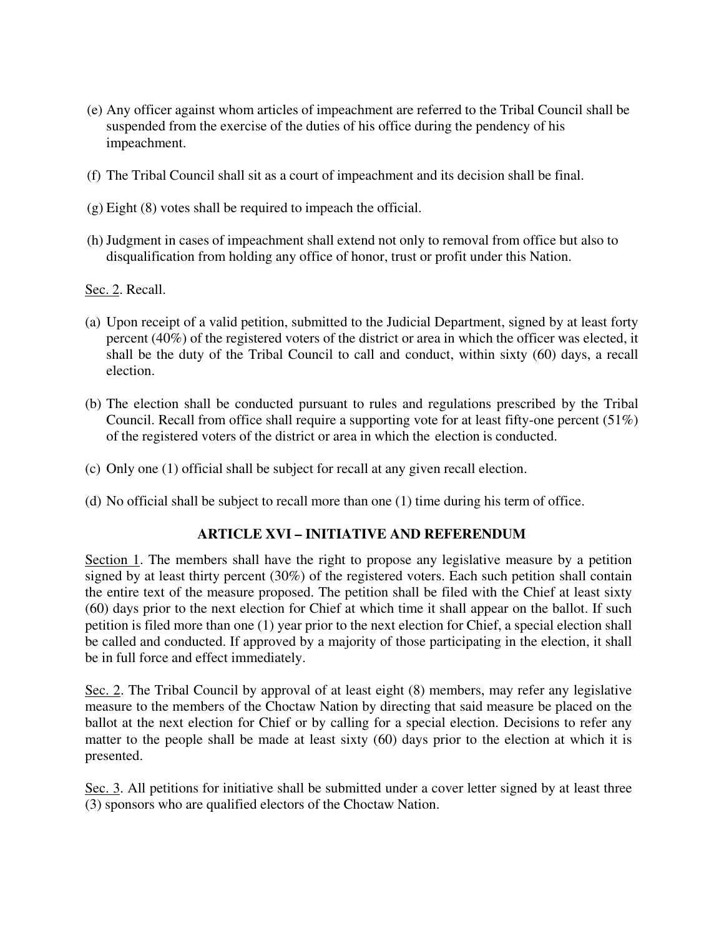- (e) Any officer against whom articles of impeachment are referred to the Tribal Council shall be suspended from the exercise of the duties of his office during the pendency of his impeachment.
- (f) The Tribal Council shall sit as a court of impeachment and its decision shall be final.
- (g) Eight (8) votes shall be required to impeach the official.
- (h) Judgment in cases of impeachment shall extend not only to removal from office but also to disqualification from holding any office of honor, trust or profit under this Nation.

Sec. 2. Recall.

- (a) Upon receipt of a valid petition, submitted to the Judicial Department, signed by at least forty percent (40%) of the registered voters of the district or area in which the officer was elected, it shall be the duty of the Tribal Council to call and conduct, within sixty (60) days, a recall election.
- (b) The election shall be conducted pursuant to rules and regulations prescribed by the Tribal Council. Recall from office shall require a supporting vote for at least fifty-one percent (51%) of the registered voters of the district or area in which the election is conducted.
- (c) Only one (1) official shall be subject for recall at any given recall election.
- (d) No official shall be subject to recall more than one (1) time during his term of office.

#### **ARTICLE XVI – INITIATIVE AND REFERENDUM**

Section 1. The members shall have the right to propose any legislative measure by a petition signed by at least thirty percent (30%) of the registered voters. Each such petition shall contain the entire text of the measure proposed. The petition shall be filed with the Chief at least sixty (60) days prior to the next election for Chief at which time it shall appear on the ballot. If such petition is filed more than one (1) year prior to the next election for Chief, a special election shall be called and conducted. If approved by a majority of those participating in the election, it shall be in full force and effect immediately.

Sec. 2. The Tribal Council by approval of at least eight (8) members, may refer any legislative measure to the members of the Choctaw Nation by directing that said measure be placed on the ballot at the next election for Chief or by calling for a special election. Decisions to refer any matter to the people shall be made at least sixty (60) days prior to the election at which it is presented.

Sec. 3. All petitions for initiative shall be submitted under a cover letter signed by at least three (3) sponsors who are qualified electors of the Choctaw Nation.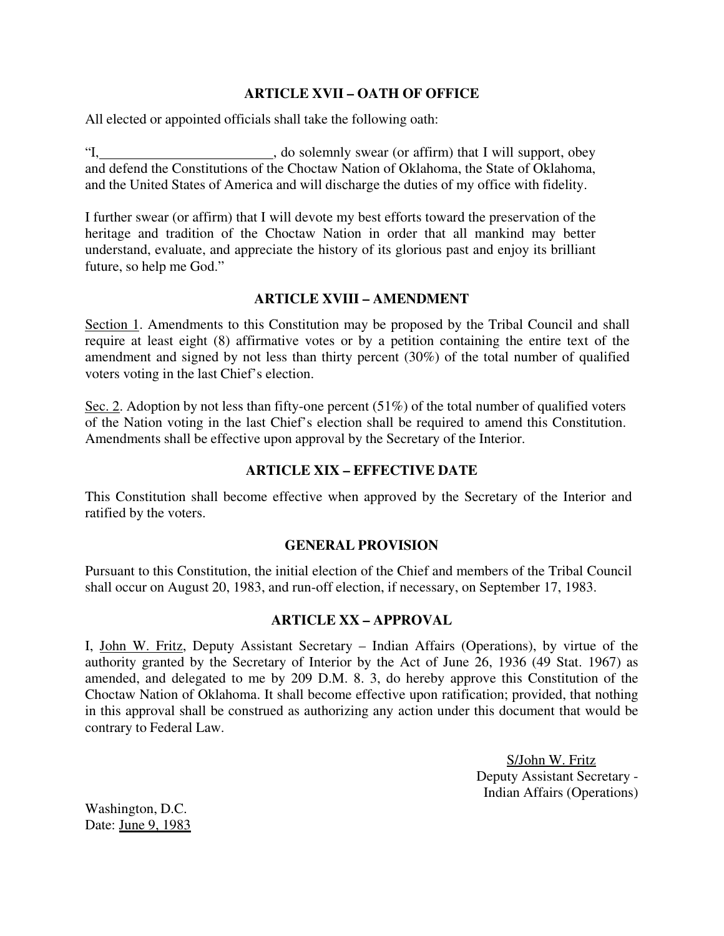#### **ARTICLE XVII – OATH OF OFFICE**

All elected or appointed officials shall take the following oath:

"I, \_\_\_\_\_\_\_\_\_\_\_\_\_\_\_\_\_\_\_\_\_\_\_\_, do solemnly swear (or affirm) that I will support, obey and defend the Constitutions of the Choctaw Nation of Oklahoma, the State of Oklahoma, and the United States of America and will discharge the duties of my office with fidelity.

I further swear (or affirm) that I will devote my best efforts toward the preservation of the heritage and tradition of the Choctaw Nation in order that all mankind may better understand, evaluate, and appreciate the history of its glorious past and enjoy its brilliant future, so help me God."

#### **ARTICLE XVIII – AMENDMENT**

Section 1. Amendments to this Constitution may be proposed by the Tribal Council and shall require at least eight (8) affirmative votes or by a petition containing the entire text of the amendment and signed by not less than thirty percent (30%) of the total number of qualified voters voting in the last Chief's election.

Sec. 2. Adoption by not less than fifty-one percent (51%) of the total number of qualified voters of the Nation voting in the last Chief's election shall be required to amend this Constitution. Amendments shall be effective upon approval by the Secretary of the Interior.

#### **ARTICLE XIX – EFFECTIVE DATE**

This Constitution shall become effective when approved by the Secretary of the Interior and ratified by the voters.

#### **GENERAL PROVISION**

Pursuant to this Constitution, the initial election of the Chief and members of the Tribal Council shall occur on August 20, 1983, and run-off election, if necessary, on September 17, 1983.

#### **ARTICLE XX – APPROVAL**

I, John W. Fritz, Deputy Assistant Secretary – Indian Affairs (Operations), by virtue of the authority granted by the Secretary of Interior by the Act of June 26, 1936 (49 Stat. 1967) as amended, and delegated to me by 209 D.M. 8. 3, do hereby approve this Constitution of the Choctaw Nation of Oklahoma. It shall become effective upon ratification; provided, that nothing in this approval shall be construed as authorizing any action under this document that would be contrary to Federal Law.

> S/John W. Fritz Deputy Assistant Secretary - Indian Affairs (Operations)

Washington, D.C. Date: *June 9, 1983*